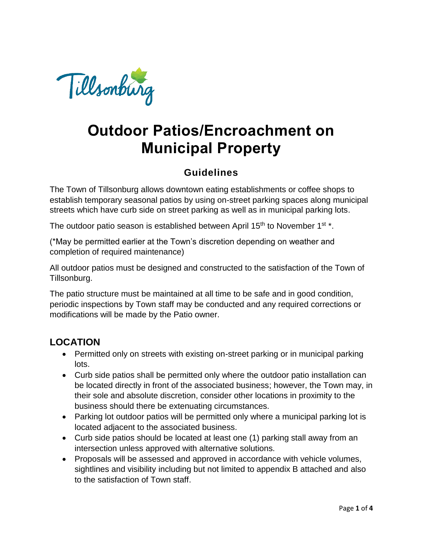

# **Outdoor Patios/Encroachment on Municipal Property**

### **Guidelines**

The Town of Tillsonburg allows downtown eating establishments or coffee shops to establish temporary seasonal patios by using on-street parking spaces along municipal streets which have curb side on street parking as well as in municipal parking lots.

The outdoor patio season is established between April 15<sup>th</sup> to November 1<sup>st \*</sup>.

(\*May be permitted earlier at the Town's discretion depending on weather and completion of required maintenance)

All outdoor patios must be designed and constructed to the satisfaction of the Town of Tillsonburg.

The patio structure must be maintained at all time to be safe and in good condition, periodic inspections by Town staff may be conducted and any required corrections or modifications will be made by the Patio owner.

# **LOCATION**

- Permitted only on streets with existing on-street parking or in municipal parking lots.
- Curb side patios shall be permitted only where the outdoor patio installation can be located directly in front of the associated business; however, the Town may, in their sole and absolute discretion, consider other locations in proximity to the business should there be extenuating circumstances.
- Parking lot outdoor patios will be permitted only where a municipal parking lot is located adjacent to the associated business.
- Curb side patios should be located at least one (1) parking stall away from an intersection unless approved with alternative solutions.
- Proposals will be assessed and approved in accordance with vehicle volumes, sightlines and visibility including but not limited to appendix B attached and also to the satisfaction of Town staff.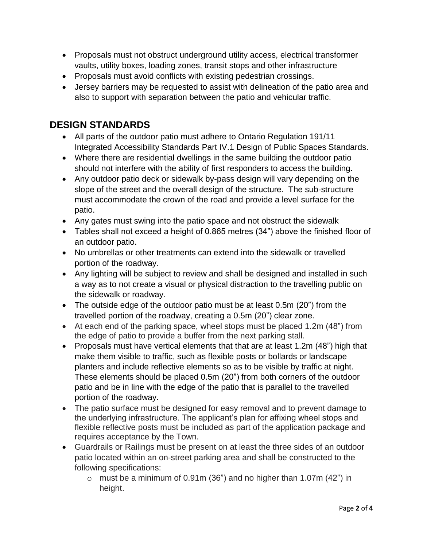- Proposals must not obstruct underground utility access, electrical transformer vaults, utility boxes, loading zones, transit stops and other infrastructure
- Proposals must avoid conflicts with existing pedestrian crossings.
- Jersey barriers may be requested to assist with delineation of the patio area and also to support with separation between the patio and vehicular traffic.

#### **DESIGN STANDARDS**

- All parts of the outdoor patio must adhere to Ontario Regulation 191/11 Integrated Accessibility Standards Part IV.1 Design of Public Spaces Standards.
- Where there are residential dwellings in the same building the outdoor patio should not interfere with the ability of first responders to access the building.
- Any outdoor patio deck or sidewalk by-pass design will vary depending on the slope of the street and the overall design of the structure. The sub-structure must accommodate the crown of the road and provide a level surface for the patio.
- Any gates must swing into the patio space and not obstruct the sidewalk
- Tables shall not exceed a height of 0.865 metres (34") above the finished floor of an outdoor patio.
- No umbrellas or other treatments can extend into the sidewalk or travelled portion of the roadway.
- Any lighting will be subject to review and shall be designed and installed in such a way as to not create a visual or physical distraction to the travelling public on the sidewalk or roadway.
- The outside edge of the outdoor patio must be at least 0.5m (20") from the travelled portion of the roadway, creating a 0.5m (20") clear zone.
- At each end of the parking space, wheel stops must be placed 1.2m (48") from the edge of patio to provide a buffer from the next parking stall.
- Proposals must have vertical elements that that are at least 1.2m (48") high that make them visible to traffic, such as flexible posts or bollards or landscape planters and include reflective elements so as to be visible by traffic at night. These elements should be placed 0.5m (20") from both corners of the outdoor patio and be in line with the edge of the patio that is parallel to the travelled portion of the roadway.
- The patio surface must be designed for easy removal and to prevent damage to the underlying infrastructure. The applicant's plan for affixing wheel stops and flexible reflective posts must be included as part of the application package and requires acceptance by the Town.
- Guardrails or Railings must be present on at least the three sides of an outdoor patio located within an on-street parking area and shall be constructed to the following specifications:
	- $\circ$  must be a minimum of 0.91m (36") and no higher than 1.07m (42") in height.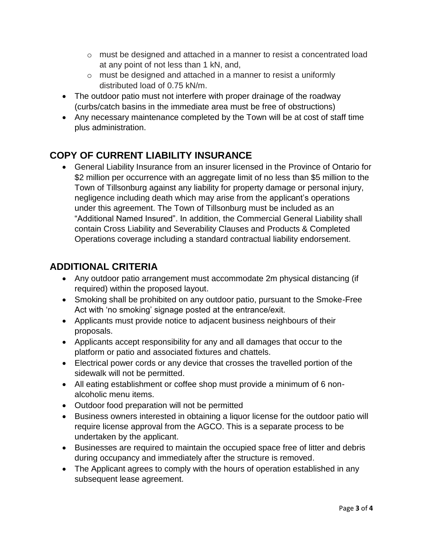- $\circ$  must be designed and attached in a manner to resist a concentrated load at any point of not less than 1 kN, and,
- o must be designed and attached in a manner to resist a uniformly distributed load of 0.75 kN/m.
- The outdoor patio must not interfere with proper drainage of the roadway (curbs/catch basins in the immediate area must be free of obstructions)
- Any necessary maintenance completed by the Town will be at cost of staff time plus administration.

# **COPY OF CURRENT LIABILITY INSURANCE**

 General Liability Insurance from an insurer licensed in the Province of Ontario for \$2 million per occurrence with an aggregate limit of no less than \$5 million to the Town of Tillsonburg against any liability for property damage or personal injury, negligence including death which may arise from the applicant's operations under this agreement. The Town of Tillsonburg must be included as an "Additional Named Insured". In addition, the Commercial General Liability shall contain Cross Liability and Severability Clauses and Products & Completed Operations coverage including a standard contractual liability endorsement.

# **ADDITIONAL CRITERIA**

- Any outdoor patio arrangement must accommodate 2m physical distancing (if required) within the proposed layout.
- Smoking shall be prohibited on any outdoor patio, pursuant to the Smoke-Free Act with 'no smoking' signage posted at the entrance/exit.
- Applicants must provide notice to adjacent business neighbours of their proposals.
- Applicants accept responsibility for any and all damages that occur to the platform or patio and associated fixtures and chattels.
- Electrical power cords or any device that crosses the travelled portion of the sidewalk will not be permitted.
- All eating establishment or coffee shop must provide a minimum of 6 nonalcoholic menu items.
- Outdoor food preparation will not be permitted
- Business owners interested in obtaining a liquor license for the outdoor patio will require license approval from the AGCO. This is a separate process to be undertaken by the applicant.
- Businesses are required to maintain the occupied space free of litter and debris during occupancy and immediately after the structure is removed.
- The Applicant agrees to comply with the hours of operation established in any subsequent lease agreement.